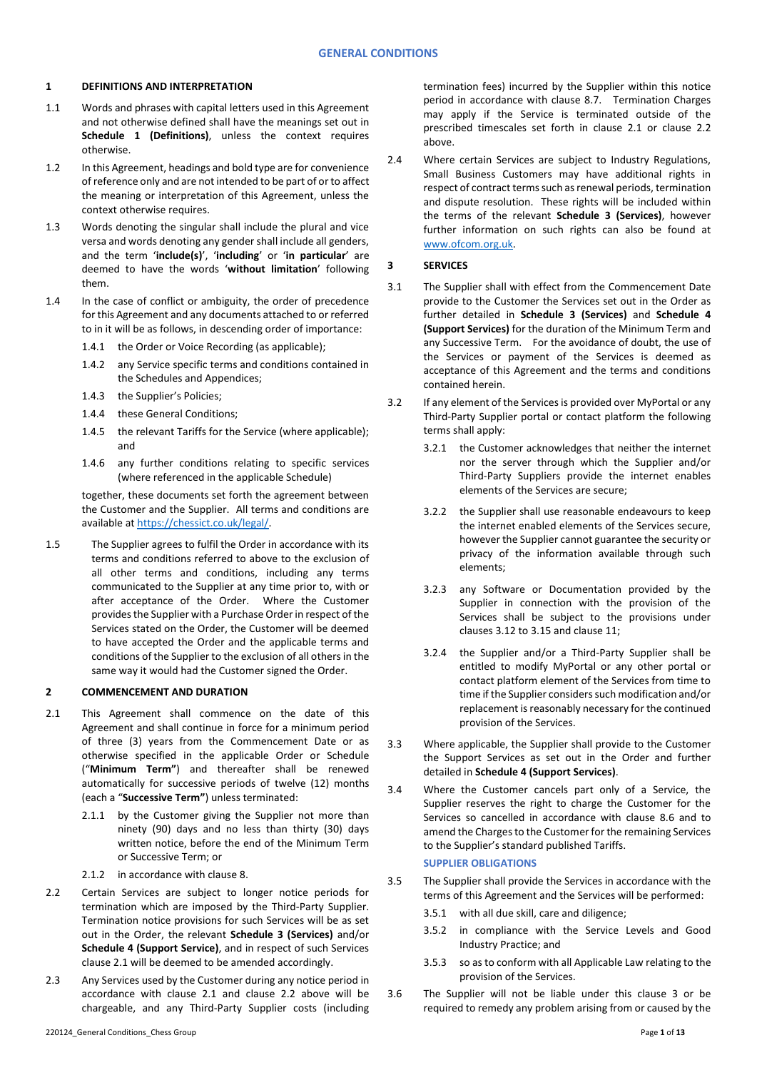### **1 DEFINITIONS AND INTERPRETATION**

- 1.1 Words and phrases with capital letters used in this Agreement and not otherwise defined shall have the meanings set out in **Schedule 1 (Definitions)**, unless the context requires otherwise.
- 1.2 In this Agreement, headings and bold type are for convenience of reference only and are not intended to be part of or to affect the meaning or interpretation of this Agreement, unless the context otherwise requires.
- 1.3 Words denoting the singular shall include the plural and vice versa and words denoting any gender shall include all genders, and the term '**include(s)**', '**including**' or '**in particular**' are deemed to have the words '**without limitation**' following them.
- 1.4 In the case of conflict or ambiguity, the order of precedence for this Agreement and any documents attached to or referred to in it will be as follows, in descending order of importance:
	- 1.4.1 the Order or Voice Recording (as applicable);
	- 1.4.2 any Service specific terms and conditions contained in the Schedules and Appendices;
	- 1.4.3 the Supplier's Policies;
	- 1.4.4 these General Conditions;
	- 1.4.5 the relevant Tariffs for the Service (where applicable); and
	- 1.4.6 any further conditions relating to specific services (where referenced in the applicable Schedule)

together, these documents set forth the agreement between the Customer and the Supplier. All terms and conditions are available at [https://chessict.co.uk/legal/.](https://chessict.co.uk/legal/) 

1.5 The Supplier agrees to fulfil the Order in accordance with its terms and conditions referred to above to the exclusion of all other terms and conditions, including any terms communicated to the Supplier at any time prior to, with or after acceptance of the Order. Where the Customer provides the Supplier with a Purchase Order in respect of the Services stated on the Order, the Customer will be deemed to have accepted the Order and the applicable terms and conditions of the Supplier to the exclusion of all others in the same way it would had the Customer signed the Order.

### **2 COMMENCEMENT AND DURATION**

- 2.1 This Agreement shall commence on the date of this Agreement and shall continue in force for a minimum period of three (3) years from the Commencement Date or as otherwise specified in the applicable Order or Schedule ("**Minimum Term"**) and thereafter shall be renewed automatically for successive periods of twelve (12) months (each a "**Successive Term"**) unless terminated:
	- 2.1.1 by the Customer giving the Supplier not more than ninety (90) days and no less than thirty (30) days written notice, before the end of the Minimum Term or Successive Term; or
	- 2.1.2 in accordance with claus[e 8.](#page-5-0)
- 2.2 Certain Services are subject to longer notice periods for termination which are imposed by the Third-Party Supplier. Termination notice provisions for such Services will be as set out in the Order, the relevant **Schedule 3 (Services)** and/or **Schedule 4 (Support Service)**, and in respect of such Services clause 2.1 will be deemed to be amended accordingly.
- 2.3 Any Services used by the Customer during any notice period in accordance with clause 2.1 and clause 2.2 above will be chargeable, and any Third-Party Supplier costs (including

2.4 Where certain Services are subject to Industry Regulations, Small Business Customers may have additional rights in respect of contract terms such as renewal periods, termination and dispute resolution. These rights will be included within the terms of the relevant **Schedule 3 (Services)**, however further information on such rights can also be found at [www.ofcom.org.uk.](http://www.ofcom.org.uk/)

# <span id="page-0-0"></span>**3 SERVICES**

- 3.1 The Supplier shall with effect from the Commencement Date provide to the Customer the Services set out in the Order as further detailed in **Schedule 3 (Services)** and **Schedule 4 (Support Services)** for the duration of the Minimum Term and any Successive Term. For the avoidance of doubt, the use of the Services or payment of the Services is deemed as acceptance of this Agreement and the terms and conditions contained herein.
- 3.2 If any element of the Services is provided over MyPortal or any Third-Party Supplier portal or contact platform the following terms shall apply:
	- 3.2.1 the Customer acknowledges that neither the internet nor the server through which the Supplier and/or Third-Party Suppliers provide the internet enables elements of the Services are secure;
	- 3.2.2 the Supplier shall use reasonable endeavours to keep the internet enabled elements of the Services secure, however the Supplier cannot guarantee the security or privacy of the information available through such elements;
	- 3.2.3 any Software or Documentation provided by the Supplier in connection with the provision of the Services shall be subject to the provisions under clauses 3.12 to 3.15 and clause 11;
	- 3.2.4 the Supplier and/or a Third-Party Supplier shall be entitled to modify MyPortal or any other portal or contact platform element of the Services from time to time if the Supplier considers such modification and/or replacement is reasonably necessary for the continued provision of the Services.
- 3.3 Where applicable, the Supplier shall provide to the Customer the Support Services as set out in the Order and further detailed in **Schedule 4 (Support Services)**.
- 3.4 Where the Customer cancels part only of a Service, the Supplier reserves the right to charge the Customer for the Services so cancelled in accordance with clause 8.6 and to amend the Charges to the Customer for the remaining Services to the Supplier's standard published Tariffs. **SUPPLIER OBLIGATIONS**
- 3.5 The Supplier shall provide the Services in accordance with the terms of this Agreement and the Services will be performed:
	- 3.5.1 with all due skill, care and diligence;
	- 3.5.2 in compliance with the Service Levels and Good Industry Practice; and
	- 3.5.3 so as to conform with all Applicable Law relating to the provision of the Services.
- 3.6 The Supplier will not be liable under this clause [3](#page-0-0) or be required to remedy any problem arising from or caused by the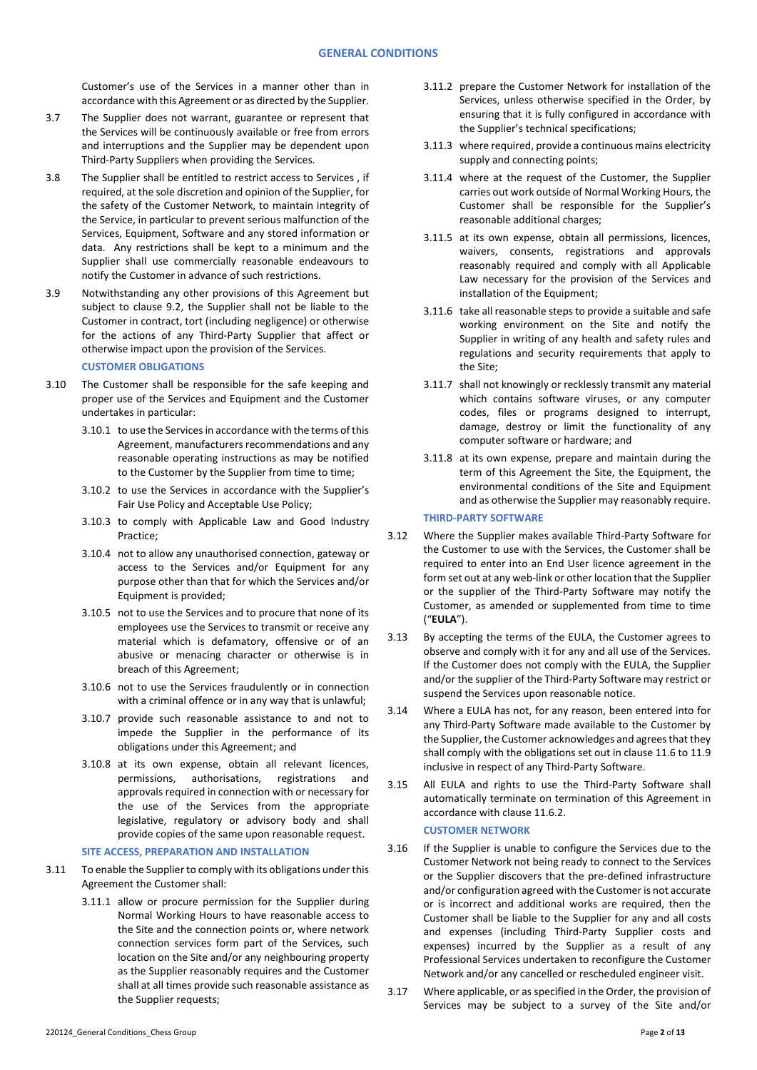Customer's use of the Services in a manner other than in accordance with this Agreement or as directed by the Supplier.

- 3.7 The Supplier does not warrant, guarantee or represent that the Services will be continuously available or free from errors and interruptions and the Supplier may be dependent upon Third-Party Suppliers when providing the Services.
- 3.8 The Supplier shall be entitled to restrict access to Services , if required, at the sole discretion and opinion of the Supplier, for the safety of the Customer Network, to maintain integrity of the Service, in particular to prevent serious malfunction of the Services, Equipment, Software and any stored information or data. Any restrictions shall be kept to a minimum and the Supplier shall use commercially reasonable endeavours to notify the Customer in advance of such restrictions.
- 3.9 Notwithstanding any other provisions of this Agreement but subject to clause 9.2, the Supplier shall not be liable to the Customer in contract, tort (including negligence) or otherwise for the actions of any Third-Party Supplier that affect or otherwise impact upon the provision of the Services.

### **CUSTOMER OBLIGATIONS**

- 3.10 The Customer shall be responsible for the safe keeping and proper use of the Services and Equipment and the Customer undertakes in particular:
	- 3.10.1 to use the Services in accordance with the terms of this Agreement, manufacturers recommendations and any reasonable operating instructions as may be notified to the Customer by the Supplier from time to time;
	- 3.10.2 to use the Services in accordance with the Supplier's Fair Use Policy and Acceptable Use Policy;
	- 3.10.3 to comply with Applicable Law and Good Industry Practice;
	- 3.10.4 not to allow any unauthorised connection, gateway or access to the Services and/or Equipment for any purpose other than that for which the Services and/or Equipment is provided;
	- 3.10.5 not to use the Services and to procure that none of its employees use the Services to transmit or receive any material which is defamatory, offensive or of an abusive or menacing character or otherwise is in breach of this Agreement;
	- 3.10.6 not to use the Services fraudulently or in connection with a criminal offence or in any way that is unlawful;
	- 3.10.7 provide such reasonable assistance to and not to impede the Supplier in the performance of its obligations under this Agreement; and
	- 3.10.8 at its own expense, obtain all relevant licences, permissions, authorisations, registrations and approvals required in connection with or necessary for the use of the Services from the appropriate legislative, regulatory or advisory body and shall provide copies of the same upon reasonable request.

### **SITE ACCESS, PREPARATION AND INSTALLATION**

- 3.11 To enable the Supplier to comply with its obligations under this Agreement the Customer shall:
	- 3.11.1 allow or procure permission for the Supplier during Normal Working Hours to have reasonable access to the Site and the connection points or, where network connection services form part of the Services, such location on the Site and/or any neighbouring property as the Supplier reasonably requires and the Customer shall at all times provide such reasonable assistance as the Supplier requests;
- 3.11.2 prepare the Customer Network for installation of the Services, unless otherwise specified in the Order, by ensuring that it is fully configured in accordance with the Supplier's technical specifications;
- 3.11.3 where required, provide a continuous mains electricity supply and connecting points;
- 3.11.4 where at the request of the Customer, the Supplier carries out work outside of Normal Working Hours, the Customer shall be responsible for the Supplier's reasonable additional charges;
- 3.11.5 at its own expense, obtain all permissions, licences, waivers, consents, registrations and approvals reasonably required and comply with all Applicable Law necessary for the provision of the Services and installation of the Equipment;
- 3.11.6 take all reasonable steps to provide a suitable and safe working environment on the Site and notify the Supplier in writing of any health and safety rules and regulations and security requirements that apply to the Site;
- 3.11.7 shall not knowingly or recklessly transmit any material which contains software viruses, or any computer codes, files or programs designed to interrupt, damage, destroy or limit the functionality of any computer software or hardware; and
- 3.11.8 at its own expense, prepare and maintain during the term of this Agreement the Site, the Equipment, the environmental conditions of the Site and Equipment and as otherwise the Supplier may reasonably require.

# **THIRD-PARTY SOFTWARE**

- <span id="page-1-1"></span>3.12 Where the Supplier makes available Third-Party Software for the Customer to use with the Services, the Customer shall be required to enter into an End User licence agreement in the form set out at any web-link or other location that the Supplier or the supplier of the Third-Party Software may notify the Customer, as amended or supplemented from time to time ("**EULA**").
- 3.13 By accepting the terms of the EULA, the Customer agrees to observe and comply with it for any and all use of the Services. If the Customer does not comply with the EULA, the Supplier and/or the supplier of the Third-Party Software may restrict or suspend the Services upon reasonable notice.
- 3.14 Where a EULA has not, for any reason, been entered into for any Third-Party Software made available to the Customer by the Supplier, the Customer acknowledges and agrees that they shall comply with the obligations set out in clause 11.6 to 11.9 inclusive in respect of any Third-Party Software.
- <span id="page-1-2"></span>3.15 All EULA and rights to use the Third-Party Software shall automatically terminate on termination of this Agreement in accordance with claus[e 11.6.2.](#page-8-0)

#### **CUSTOMER NETWORK**

- 3.16 If the Supplier is unable to configure the Services due to the Customer Network not being ready to connect to the Services or the Supplier discovers that the pre-defined infrastructure and/or configuration agreed with the Customer is not accurate or is incorrect and additional works are required, then the Customer shall be liable to the Supplier for any and all costs and expenses (including Third-Party Supplier costs and expenses) incurred by the Supplier as a result of any Professional Services undertaken to reconfigure the Customer Network and/or any cancelled or rescheduled engineer visit.
- <span id="page-1-0"></span>3.17 Where applicable, or as specified in the Order, the provision of Services may be subject to a survey of the Site and/or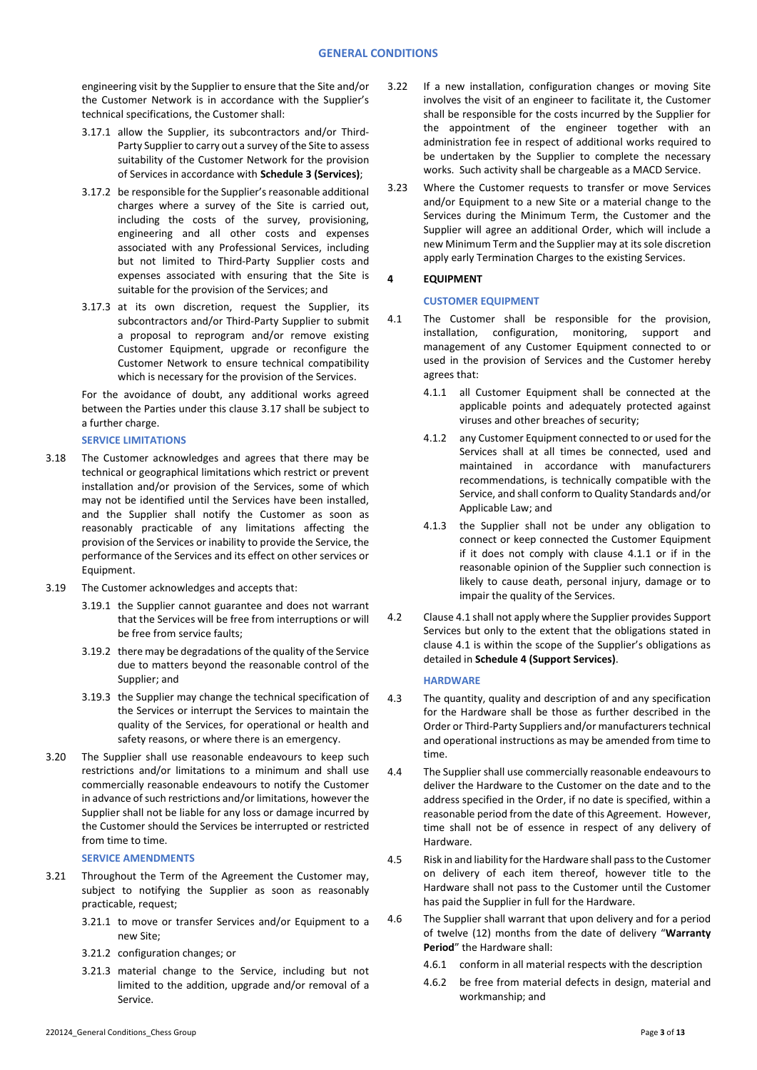engineering visit by the Supplier to ensure that the Site and/or the Customer Network is in accordance with the Supplier's technical specifications, the Customer shall:

- 3.17.1 allow the Supplier, its subcontractors and/or Third-Party Supplier to carry out a survey of the Site to assess suitability of the Customer Network for the provision of Services in accordance with **Schedule 3 (Services)**;
- 3.17.2 be responsible for the Supplier's reasonable additional charges where a survey of the Site is carried out, including the costs of the survey, provisioning, engineering and all other costs and expenses associated with any Professional Services, including but not limited to Third-Party Supplier costs and expenses associated with ensuring that the Site is suitable for the provision of the Services; and
- 3.17.3 at its own discretion, request the Supplier, its subcontractors and/or Third-Party Supplier to submit a proposal to reprogram and/or remove existing Customer Equipment, upgrade or reconfigure the Customer Network to ensure technical compatibility which is necessary for the provision of the Services.

For the avoidance of doubt, any additional works agreed between the Parties under this claus[e 3.17](#page-1-0) shall be subject to a further charge.

### **SERVICE LIMITATIONS**

- 3.18 The Customer acknowledges and agrees that there may be technical or geographical limitations which restrict or prevent installation and/or provision of the Services, some of which may not be identified until the Services have been installed, and the Supplier shall notify the Customer as soon as reasonably practicable of any limitations affecting the provision of the Services or inability to provide the Service, the performance of the Services and its effect on other services or Equipment.
- 3.19 The Customer acknowledges and accepts that:
	- 3.19.1 the Supplier cannot guarantee and does not warrant that the Services will be free from interruptions or will be free from service faults;
	- 3.19.2 there may be degradations of the quality of the Service due to matters beyond the reasonable control of the Supplier; and
	- 3.19.3 the Supplier may change the technical specification of the Services or interrupt the Services to maintain the quality of the Services, for operational or health and safety reasons, or where there is an emergency.
- 3.20 The Supplier shall use reasonable endeavours to keep such restrictions and/or limitations to a minimum and shall use commercially reasonable endeavours to notify the Customer in advance of such restrictions and/or limitations, however the Supplier shall not be liable for any loss or damage incurred by the Customer should the Services be interrupted or restricted from time to time.

#### **SERVICE AMENDMENTS**

- 3.21 Throughout the Term of the Agreement the Customer may, subject to notifying the Supplier as soon as reasonably practicable, request;
	- 3.21.1 to move or transfer Services and/or Equipment to a new Site;
	- 3.21.2 configuration changes; or
	- 3.21.3 material change to the Service, including but not limited to the addition, upgrade and/or removal of a Service.
- 3.22 If a new installation, configuration changes or moving Site involves the visit of an engineer to facilitate it, the Customer shall be responsible for the costs incurred by the Supplier for the appointment of the engineer together with an administration fee in respect of additional works required to be undertaken by the Supplier to complete the necessary works. Such activity shall be chargeable as a MACD Service.
- 3.23 Where the Customer requests to transfer or move Services and/or Equipment to a new Site or a material change to the Services during the Minimum Term, the Customer and the Supplier will agree an additional Order, which will include a new Minimum Term and the Supplier may at its sole discretion apply early Termination Charges to the existing Services.

# **4 EQUIPMENT**

### **CUSTOMER EQUIPMENT**

- <span id="page-2-0"></span>4.1 The Customer shall be responsible for the provision, installation, configuration, monitoring, support and management of any Customer Equipment connected to or used in the provision of Services and the Customer hereby agrees that:
	- 4.1.1 all Customer Equipment shall be connected at the applicable points and adequately protected against viruses and other breaches of security;
	- 4.1.2 any Customer Equipment connected to or used for the Services shall at all times be connected, used and maintained in accordance with manufacturers recommendations, is technically compatible with the Service, and shall conform to Quality Standards and/or Applicable Law; and
	- 4.1.3 the Supplier shall not be under any obligation to connect or keep connected the Customer Equipment if it does not comply with clause [4.1.1](#page-2-0) or if in the reasonable opinion of the Supplier such connection is likely to cause death, personal injury, damage or to impair the quality of the Services.
- 4.2 Clause 4.1 shall not apply where the Supplier provides Support Services but only to the extent that the obligations stated in clause 4.1 is within the scope of the Supplier's obligations as detailed in **Schedule 4 (Support Services)**.

#### **HARDWARE**

- 4.3 The quantity, quality and description of and any specification for the Hardware shall be those as further described in the Order or Third-Party Suppliers and/or manufacturers technical and operational instructions as may be amended from time to time.
- 4.4 The Supplier shall use commercially reasonable endeavours to deliver the Hardware to the Customer on the date and to the address specified in the Order, if no date is specified, within a reasonable period from the date of this Agreement. However, time shall not be of essence in respect of any delivery of Hardware.
- 4.5 Risk in and liability forthe Hardware shall pass to the Customer on delivery of each item thereof, however title to the Hardware shall not pass to the Customer until the Customer has paid the Supplier in full for the Hardware.
- 4.6 The Supplier shall warrant that upon delivery and for a period of twelve (12) months from the date of delivery "**Warranty Period**" the Hardware shall:
	- 4.6.1 conform in all material respects with the description
	- 4.6.2 be free from material defects in design, material and workmanship; and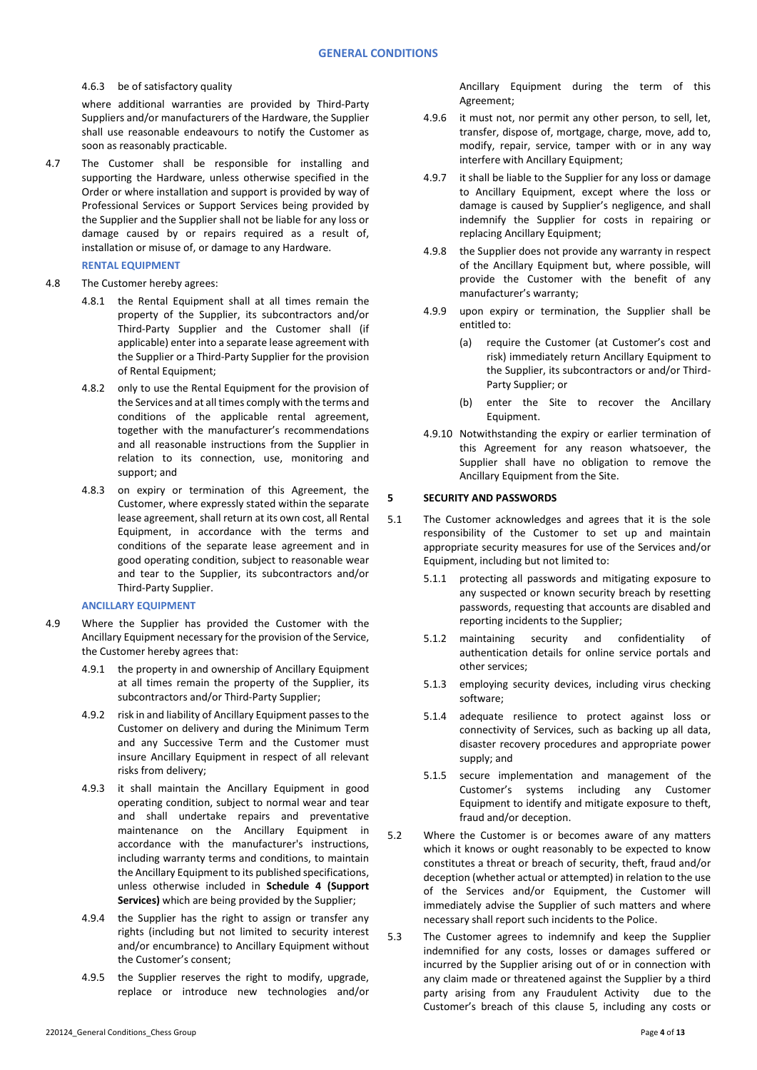4.6.3 be of satisfactory quality

where additional warranties are provided by Third-Party Suppliers and/or manufacturers of the Hardware, the Supplier shall use reasonable endeavours to notify the Customer as soon as reasonably practicable.

4.7 The Customer shall be responsible for installing and supporting the Hardware, unless otherwise specified in the Order or where installation and support is provided by way of Professional Services or Support Services being provided by the Supplier and the Supplier shall not be liable for any loss or damage caused by or repairs required as a result of, installation or misuse of, or damage to any Hardware.

# **RENTAL EQUIPMENT**

- 4.8 The Customer hereby agrees:
	- 4.8.1 the Rental Equipment shall at all times remain the property of the Supplier, its subcontractors and/or Third-Party Supplier and the Customer shall (if applicable) enter into a separate lease agreement with the Supplier or a Third-Party Supplier for the provision of Rental Equipment;
	- 4.8.2 only to use the Rental Equipment for the provision of the Services and at all times comply with the terms and conditions of the applicable rental agreement, together with the manufacturer's recommendations and all reasonable instructions from the Supplier in relation to its connection, use, monitoring and support; and
	- 4.8.3 on expiry or termination of this Agreement, the Customer, where expressly stated within the separate lease agreement, shall return at its own cost, all Rental Equipment, in accordance with the terms and conditions of the separate lease agreement and in good operating condition, subject to reasonable wear and tear to the Supplier, its subcontractors and/or Third-Party Supplier.

### **ANCILLARY EQUIPMENT**

- 4.9 Where the Supplier has provided the Customer with the Ancillary Equipment necessary for the provision of the Service, the Customer hereby agrees that:
	- 4.9.1 the property in and ownership of Ancillary Equipment at all times remain the property of the Supplier, its subcontractors and/or Third-Party Supplier;
	- 4.9.2 risk in and liability of Ancillary Equipment passes to the Customer on delivery and during the Minimum Term and any Successive Term and the Customer must insure Ancillary Equipment in respect of all relevant risks from delivery;
	- 4.9.3 it shall maintain the Ancillary Equipment in good operating condition, subject to normal wear and tear and shall undertake repairs and preventative maintenance on the Ancillary Equipment in accordance with the manufacturer's instructions, including warranty terms and conditions, to maintain the Ancillary Equipment to its published specifications, unless otherwise included in **Schedule 4 (Support Services)** which are being provided by the Supplier;
	- 4.9.4 the Supplier has the right to assign or transfer any rights (including but not limited to security interest and/or encumbrance) to Ancillary Equipment without the Customer's consent;
	- 4.9.5 the Supplier reserves the right to modify, upgrade, replace or introduce new technologies and/or

Ancillary Equipment during the term of this Agreement;

- 4.9.6 it must not, nor permit any other person, to sell, let, transfer, dispose of, mortgage, charge, move, add to, modify, repair, service, tamper with or in any way interfere with Ancillary Equipment;
- 4.9.7 it shall be liable to the Supplier for any loss or damage to Ancillary Equipment, except where the loss or damage is caused by Supplier's negligence, and shall indemnify the Supplier for costs in repairing or replacing Ancillary Equipment;
- 4.9.8 the Supplier does not provide any warranty in respect of the Ancillary Equipment but, where possible, will provide the Customer with the benefit of any manufacturer's warranty;
- 4.9.9 upon expiry or termination, the Supplier shall be entitled to:
	- (a) require the Customer (at Customer's cost and risk) immediately return Ancillary Equipment to the Supplier, its subcontractors or and/or Third-Party Supplier; or
	- (b) enter the Site to recover the Ancillary Equipment.
- 4.9.10 Notwithstanding the expiry or earlier termination of this Agreement for any reason whatsoever, the Supplier shall have no obligation to remove the Ancillary Equipment from the Site.

# <span id="page-3-0"></span>**5 SECURITY AND PASSWORDS**

- 5.1 The Customer acknowledges and agrees that it is the sole responsibility of the Customer to set up and maintain appropriate security measures for use of the Services and/or Equipment, including but not limited to:
	- 5.1.1 protecting all passwords and mitigating exposure to any suspected or known security breach by resetting passwords, requesting that accounts are disabled and reporting incidents to the Supplier;
	- 5.1.2 maintaining security and confidentiality of authentication details for online service portals and other services;
	- 5.1.3 employing security devices, including virus checking software;
	- 5.1.4 adequate resilience to protect against loss or connectivity of Services, such as backing up all data, disaster recovery procedures and appropriate power supply; and
	- 5.1.5 secure implementation and management of the Customer's systems including any Customer Equipment to identify and mitigate exposure to theft, fraud and/or deception.
- 5.2 Where the Customer is or becomes aware of any matters which it knows or ought reasonably to be expected to know constitutes a threat or breach of security, theft, fraud and/or deception (whether actual or attempted) in relation to the use of the Services and/or Equipment, the Customer will immediately advise the Supplier of such matters and where necessary shall report such incidents to the Police.
- 5.3 The Customer agrees to indemnify and keep the Supplier indemnified for any costs, losses or damages suffered or incurred by the Supplier arising out of or in connection with any claim made or threatened against the Supplier by a third party arising from any Fraudulent Activity due to the Customer's breach of this clause [5,](#page-3-0) including any costs or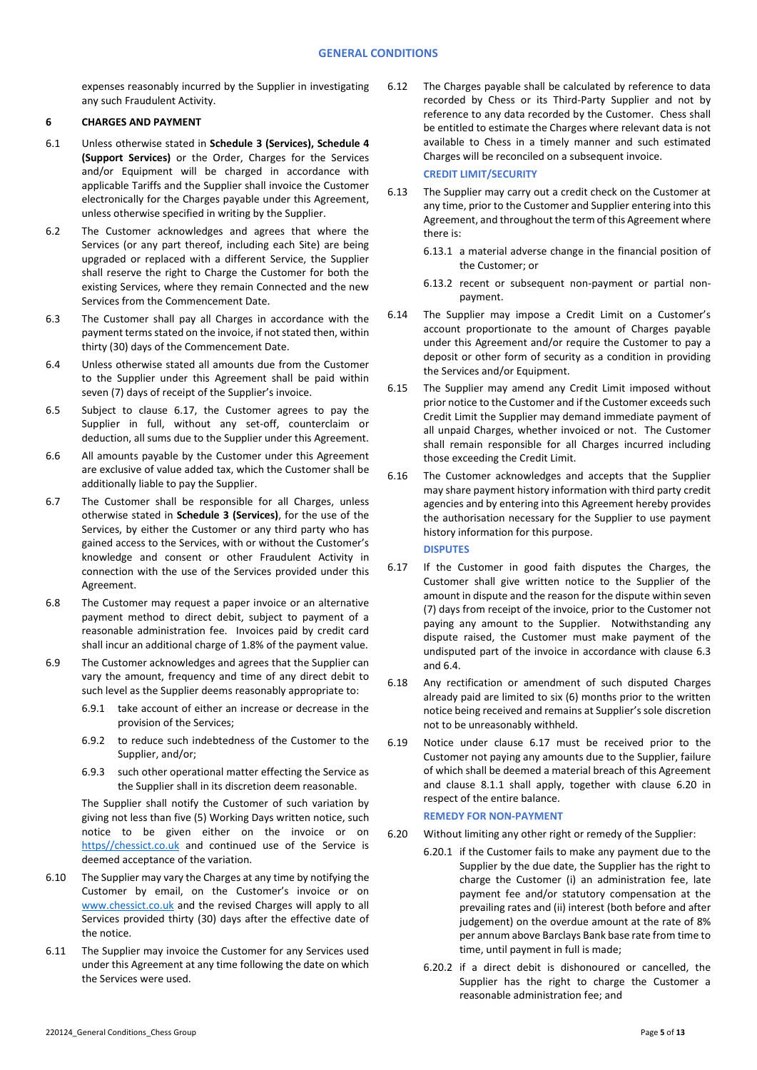expenses reasonably incurred by the Supplier in investigating any such Fraudulent Activity.

# **6 CHARGES AND PAYMENT**

- 6.1 Unless otherwise stated in **Schedule 3 (Services), Schedule 4 (Support Services)** or the Order, Charges for the Services and/or Equipment will be charged in accordance with applicable Tariffs and the Supplier shall invoice the Customer electronically for the Charges payable under this Agreement, unless otherwise specified in writing by the Supplier.
- 6.2 The Customer acknowledges and agrees that where the Services (or any part thereof, including each Site) are being upgraded or replaced with a different Service, the Supplier shall reserve the right to Charge the Customer for both the existing Services, where they remain Connected and the new Services from the Commencement Date.
- <span id="page-4-0"></span>6.3 The Customer shall pay all Charges in accordance with the payment terms stated on the invoice, if not stated then, within thirty (30) days of the Commencement Date.
- 6.4 Unless otherwise stated all amounts due from the Customer to the Supplier under this Agreement shall be paid within seven (7) days of receipt of the Supplier's invoice.
- 6.5 Subject to clause 6.17, the Customer agrees to pay the Supplier in full, without any set-off, counterclaim or deduction, all sums due to the Supplier under this Agreement.
- 6.6 All amounts payable by the Customer under this Agreement are exclusive of value added tax, which the Customer shall be additionally liable to pay the Supplier.
- 6.7 The Customer shall be responsible for all Charges, unless otherwise stated in **Schedule 3 (Services)**, for the use of the Services, by either the Customer or any third party who has gained access to the Services, with or without the Customer's knowledge and consent or other Fraudulent Activity in connection with the use of the Services provided under this Agreement.
- 6.8 The Customer may request a paper invoice or an alternative payment method to direct debit, subject to payment of a reasonable administration fee. Invoices paid by credit card shall incur an additional charge of 1.8% of the payment value.
- 6.9 The Customer acknowledges and agrees that the Supplier can vary the amount, frequency and time of any direct debit to such level as the Supplier deems reasonably appropriate to:
	- 6.9.1 take account of either an increase or decrease in the provision of the Services;
	- 6.9.2 to reduce such indebtedness of the Customer to the Supplier, and/or;
	- 6.9.3 such other operational matter effecting the Service as the Supplier shall in its discretion deem reasonable.

The Supplier shall notify the Customer of such variation by giving not less than five (5) Working Days written notice, such notice to be given either on the invoice or on [https//chessict.co.uk](http://www.chessict.co.uk/) and continued use of the Service is deemed acceptance of the variation.

- <span id="page-4-1"></span>6.10 The Supplier may vary the Charges at any time by notifying the Customer by email, on the Customer's invoice or on [www.chessict.co.uk](http://www.chessict.co.uk/) and the revised Charges will apply to all Services provided thirty (30) days after the effective date of the notice.
- 6.11 The Supplier may invoice the Customer for any Services used under this Agreement at any time following the date on which the Services were used.

6.12 The Charges payable shall be calculated by reference to data recorded by Chess or its Third-Party Supplier and not by reference to any data recorded by the Customer. Chess shall be entitled to estimate the Charges where relevant data is not available to Chess in a timely manner and such estimated Charges will be reconciled on a subsequent invoice.

# **CREDIT LIMIT/SECURITY**

- 6.13 The Supplier may carry out a credit check on the Customer at any time, prior to the Customer and Supplier entering into this Agreement, and throughout the term of this Agreement where there is:
	- 6.13.1 a material adverse change in the financial position of the Customer; or
	- 6.13.2 recent or subsequent non-payment or partial nonpayment.
- 6.14 The Supplier may impose a Credit Limit on a Customer's account proportionate to the amount of Charges payable under this Agreement and/or require the Customer to pay a deposit or other form of security as a condition in providing the Services and/or Equipment.
- 6.15 The Supplier may amend any Credit Limit imposed without prior notice to the Customer and if the Customer exceeds such Credit Limit the Supplier may demand immediate payment of all unpaid Charges, whether invoiced or not. The Customer shall remain responsible for all Charges incurred including those exceeding the Credit Limit.
- 6.16 The Customer acknowledges and accepts that the Supplier may share payment history information with third party credit agencies and by entering into this Agreement hereby provides the authorisation necessary for the Supplier to use payment history information for this purpose.

**DISPUTES**

- 6.17 If the Customer in good faith disputes the Charges, the Customer shall give written notice to the Supplier of the amount in dispute and the reason for the dispute within seven (7) days from receipt of the invoice, prior to the Customer not paying any amount to the Supplier. Notwithstanding any dispute raised, the Customer must make payment of the undisputed part of the invoice in accordance with clause [6.3](#page-4-0) and 6.4.
- 6.18 Any rectification or amendment of such disputed Charges already paid are limited to six (6) months prior to the written notice being received and remains at Supplier's sole discretion not to be unreasonably withheld.
- 6.19 Notice under clause 6.17 must be received prior to the Customer not paying any amounts due to the Supplier, failure of which shall be deemed a material breach of this Agreement and clause [8.1.1](#page-5-1) shall apply, together with clause 6.20 in respect of the entire balance.

### **REMEDY FOR NON-PAYMENT**

- 6.20 Without limiting any other right or remedy of the Supplier:
	- 6.20.1 if the Customer fails to make any payment due to the Supplier by the due date, the Supplier has the right to charge the Customer (i) an administration fee, late payment fee and/or statutory compensation at the prevailing rates and (ii) interest (both before and after judgement) on the overdue amount at the rate of 8% per annum above Barclays Bank base rate from time to time, until payment in full is made;
		- 6.20.2 if a direct debit is dishonoured or cancelled, the Supplier has the right to charge the Customer a reasonable administration fee; and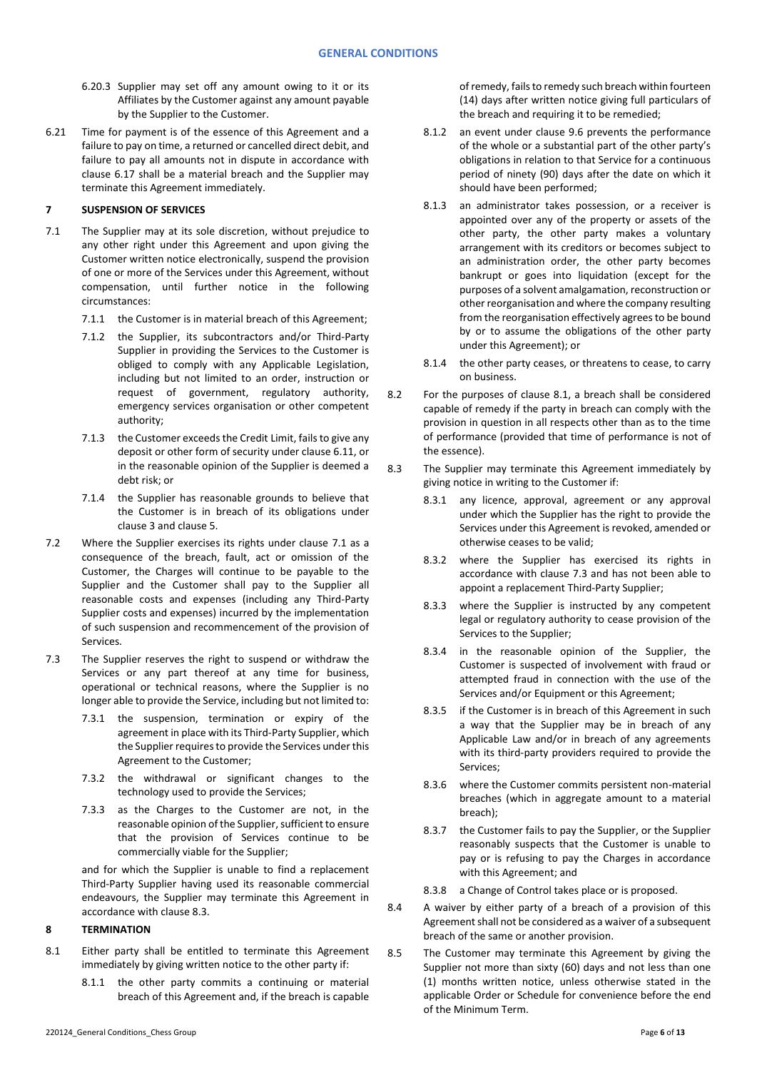- 6.20.3 Supplier may set off any amount owing to it or its Affiliates by the Customer against any amount payable by the Supplier to the Customer.
- 6.21 Time for payment is of the essence of this Agreement and a failure to pay on time, a returned or cancelled direct debit, and failure to pay all amounts not in dispute in accordance with clause 6.17 shall be a material breach and the Supplier may terminate this Agreement immediately.

# **7 SUSPENSION OF SERVICES**

- <span id="page-5-2"></span>7.1 The Supplier may at its sole discretion, without prejudice to any other right under this Agreement and upon giving the Customer written notice electronically, suspend the provision of one or more of the Services under this Agreement, without compensation, until further notice in the following circumstances:
	- 7.1.1 the Customer is in material breach of this Agreement;
	- 7.1.2 the Supplier, its subcontractors and/or Third-Party Supplier in providing the Services to the Customer is obliged to comply with any Applicable Legislation, including but not limited to an order, instruction or request of government, regulatory authority, emergency services organisation or other competent authority;
	- 7.1.3 the Customer exceeds the Credit Limit, fails to give any deposit or other form of security under clause 6.11, or in the reasonable opinion of the Supplier is deemed a debt risk; or
	- 7.1.4 the Supplier has reasonable grounds to believe that the Customer is in breach of its obligations under claus[e 3](#page-0-0) and clause [5.](#page-3-0)
- 7.2 Where the Supplier exercises its rights under clause [7.1](#page-5-2) as a consequence of the breach, fault, act or omission of the Customer, the Charges will continue to be payable to the Supplier and the Customer shall pay to the Supplier all reasonable costs and expenses (including any Third-Party Supplier costs and expenses) incurred by the implementation of such suspension and recommencement of the provision of Services.
- <span id="page-5-5"></span>7.3 The Supplier reserves the right to suspend or withdraw the Services or any part thereof at any time for business, operational or technical reasons, where the Supplier is no longer able to provide the Service, including but not limited to:
	- 7.3.1 the suspension, termination or expiry of the agreement in place with its Third-Party Supplier, which the Supplier requires to provide the Services under this Agreement to the Customer;
	- 7.3.2 the withdrawal or significant changes to the technology used to provide the Services;
	- 7.3.3 as the Charges to the Customer are not, in the reasonable opinion of the Supplier, sufficient to ensure that the provision of Services continue to be commercially viable for the Supplier;

and for which the Supplier is unable to find a replacement Third-Party Supplier having used its reasonable commercial endeavours, the Supplier may terminate this Agreement in accordance with claus[e 8.3.](#page-5-3)

# <span id="page-5-0"></span>**8 TERMINATION**

- <span id="page-5-4"></span><span id="page-5-1"></span>8.1 Either party shall be entitled to terminate this Agreement immediately by giving written notice to the other party if:
	- 8.1.1 the other party commits a continuing or material breach of this Agreement and, if the breach is capable

of remedy, fails to remedy such breach within fourteen (14) days after written notice giving full particulars of the breach and requiring it to be remedied;

- <span id="page-5-6"></span>8.1.2 an event under clause [9.6](#page-6-0) prevents the performance of the whole or a substantial part of the other party's obligations in relation to that Service for a continuous period of ninety (90) days after the date on which it should have been performed;
- 8.1.3 an administrator takes possession, or a receiver is appointed over any of the property or assets of the other party, the other party makes a voluntary arrangement with its creditors or becomes subject to an administration order, the other party becomes bankrupt or goes into liquidation (except for the purposes of a solvent amalgamation, reconstruction or other reorganisation and where the company resulting from the reorganisation effectively agrees to be bound by or to assume the obligations of the other party under this Agreement); or
- 8.1.4 the other party ceases, or threatens to cease, to carry on business.
- 8.2 For the purposes of clause [8.1,](#page-5-4) a breach shall be considered capable of remedy if the party in breach can comply with the provision in question in all respects other than as to the time of performance (provided that time of performance is not of the essence).
- <span id="page-5-3"></span>8.3 The Supplier may terminate this Agreement immediately by giving notice in writing to the Customer if:
	- 8.3.1 any licence, approval, agreement or any approval under which the Supplier has the right to provide the Services under this Agreement is revoked, amended or otherwise ceases to be valid;
	- 8.3.2 where the Supplier has exercised its rights in accordance with clause [7.3](#page-5-5) and has not been able to appoint a replacement Third-Party Supplier;
	- 8.3.3 where the Supplier is instructed by any competent legal or regulatory authority to cease provision of the Services to the Supplier;
	- 8.3.4 in the reasonable opinion of the Supplier, the Customer is suspected of involvement with fraud or attempted fraud in connection with the use of the Services and/or Equipment or this Agreement;
	- 8.3.5 if the Customer is in breach of this Agreement in such a way that the Supplier may be in breach of any Applicable Law and/or in breach of any agreements with its third-party providers required to provide the Services;
	- 8.3.6 where the Customer commits persistent non-material breaches (which in aggregate amount to a material breach);
	- 8.3.7 the Customer fails to pay the Supplier, or the Supplier reasonably suspects that the Customer is unable to pay or is refusing to pay the Charges in accordance with this Agreement; and
	- 8.3.8 a Change of Control takes place or is proposed.
- 8.4 A waiver by either party of a breach of a provision of this Agreement shall not be considered as a waiver of a subsequent breach of the same or another provision.
- 8.5 The Customer may terminate this Agreement by giving the Supplier not more than sixty (60) days and not less than one (1) months written notice, unless otherwise stated in the applicable Order or Schedule for convenience before the end of the Minimum Term.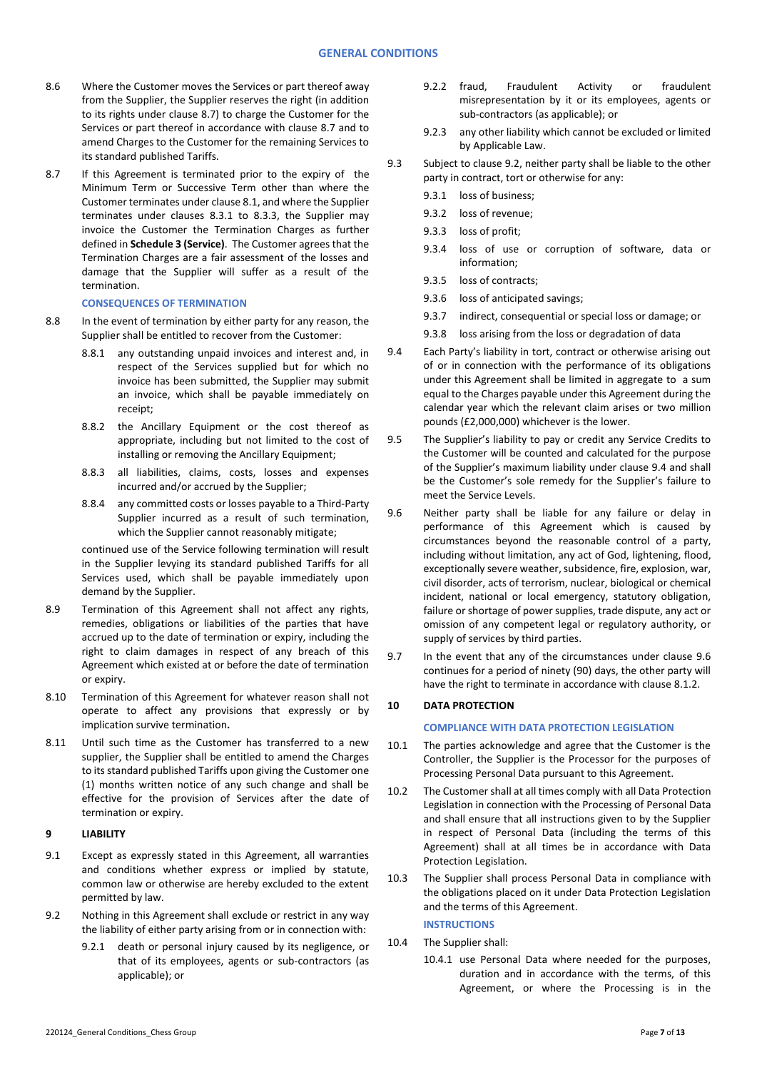- 8.6 Where the Customer moves the Services or part thereof away from the Supplier, the Supplier reserves the right (in addition to its rights under clause 8.7) to charge the Customer for the Services or part thereof in accordance with clause 8.7 and to amend Charges to the Customer for the remaining Services to its standard published Tariffs.
- 8.7 If this Agreement is terminated prior to the expiry of the Minimum Term or Successive Term other than where the Customer terminates under clause [8.1,](#page-5-4) and where the Supplier terminates under clauses 8.3.1 to 8.3.3, the Supplier may invoice the Customer the Termination Charges as further defined in **Schedule 3 (Service)**. The Customer agrees that the Termination Charges are a fair assessment of the losses and damage that the Supplier will suffer as a result of the termination.

#### **CONSEQUENCES OF TERMINATION**

- 8.8 In the event of termination by either party for any reason, the Supplier shall be entitled to recover from the Customer:
	- 8.8.1 any outstanding unpaid invoices and interest and, in respect of the Services supplied but for which no invoice has been submitted, the Supplier may submit an invoice, which shall be payable immediately on receipt;
	- 8.8.2 the Ancillary Equipment or the cost thereof as appropriate, including but not limited to the cost of installing or removing the Ancillary Equipment;
	- 8.8.3 all liabilities, claims, costs, losses and expenses incurred and/or accrued by the Supplier;
	- 8.8.4 any committed costs or losses payable to a Third-Party Supplier incurred as a result of such termination, which the Supplier cannot reasonably mitigate:

continued use of the Service following termination will result in the Supplier levying its standard published Tariffs for all Services used, which shall be payable immediately upon demand by the Supplier.

- 8.9 Termination of this Agreement shall not affect any rights, remedies, obligations or liabilities of the parties that have accrued up to the date of termination or expiry, including the right to claim damages in respect of any breach of this Agreement which existed at or before the date of termination or expiry.
- 8.10 Termination of this Agreement for whatever reason shall not operate to affect any provisions that expressly or by implication survive termination**.**
- 8.11 Until such time as the Customer has transferred to a new supplier, the Supplier shall be entitled to amend the Charges to its standard published Tariffs upon giving the Customer one (1) months written notice of any such change and shall be effective for the provision of Services after the date of termination or expiry.

# **9 LIABILITY**

- 9.1 Except as expressly stated in this Agreement, all warranties and conditions whether express or implied by statute, common law or otherwise are hereby excluded to the extent permitted by law.
- <span id="page-6-1"></span>9.2 Nothing in this Agreement shall exclude or restrict in any way the liability of either party arising from or in connection with:
	- 9.2.1 death or personal injury caused by its negligence, or that of its employees, agents or sub-contractors (as applicable); or
- 9.2.2 fraud, Fraudulent Activity or fraudulent misrepresentation by it or its employees, agents or sub-contractors (as applicable); or
- 9.2.3 any other liability which cannot be excluded or limited by Applicable Law.
- 9.3 Subject to claus[e 9.2,](#page-6-1) neither party shall be liable to the other party in contract, tort or otherwise for any:
	- 9.3.1 loss of business;
	- 9.3.2 loss of revenue;
	- 9.3.3 loss of profit;
	- 9.3.4 loss of use or corruption of software, data or information;
	- 9.3.5 loss of contracts;
	- 9.3.6 loss of anticipated savings;
	- 9.3.7 indirect, consequential or special loss or damage; or
	- 9.3.8 loss arising from the loss or degradation of data
- <span id="page-6-2"></span>9.4 Each Party's liability in tort, contract or otherwise arising out of or in connection with the performance of its obligations under this Agreement shall be limited in aggregate to a sum equal to the Charges payable under this Agreement during the calendar year which the relevant claim arises or two million pounds (£2,000,000) whichever is the lower.
- 9.5 The Supplier's liability to pay or credit any Service Credits to the Customer will be counted and calculated for the purpose of the Supplier's maximum liability under clause [9.4](#page-6-2) and shall be the Customer's sole remedy for the Supplier's failure to meet the Service Levels.
- <span id="page-6-0"></span>9.6 Neither party shall be liable for any failure or delay in performance of this Agreement which is caused by circumstances beyond the reasonable control of a party, including without limitation, any act of God, lightening, flood, exceptionally severe weather, subsidence, fire, explosion, war, civil disorder, acts of terrorism, nuclear, biological or chemical incident, national or local emergency, statutory obligation, failure or shortage of power supplies, trade dispute, any act or omission of any competent legal or regulatory authority, or supply of services by third parties.
- 9.7 In the event that any of the circumstances under clause [9.6](#page-6-0) continues for a period of ninety (90) days, the other party will have the right to terminate in accordance with claus[e 8.1.2.](#page-5-6)

# <span id="page-6-3"></span>**10 DATA PROTECTION**

#### **COMPLIANCE WITH DATA PROTECTION LEGISLATION**

- 10.1 The parties acknowledge and agree that the Customer is the Controller, the Supplier is the Processor for the purposes of Processing Personal Data pursuant to this Agreement.
- 10.2 The Customer shall at all times comply with all Data Protection Legislation in connection with the Processing of Personal Data and shall ensure that all instructions given to by the Supplier in respect of Personal Data (including the terms of this Agreement) shall at all times be in accordance with Data Protection Legislation.
- 10.3 The Supplier shall process Personal Data in compliance with the obligations placed on it under Data Protection Legislation and the terms of this Agreement.

# **INSTRUCTIONS**

- 10.4 The Supplier shall:
	- 10.4.1 use Personal Data where needed for the purposes, duration and in accordance with the terms, of this Agreement, or where the Processing is in the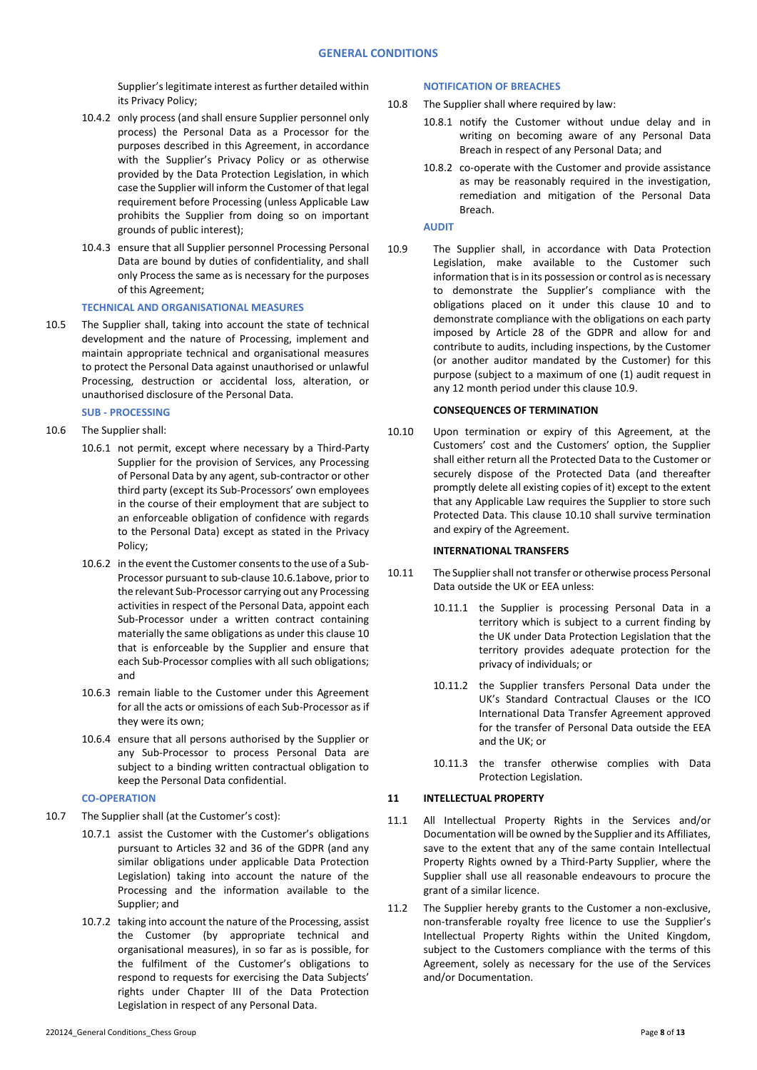Supplier's legitimate interest as further detailed within its Privacy Policy;

- 10.4.2 only process (and shall ensure Supplier personnel only process) the Personal Data as a Processor for the purposes described in this Agreement, in accordance with the Supplier's Privacy Policy or as otherwise provided by the Data Protection Legislation, in which case the Supplier will inform the Customer of that legal requirement before Processing (unless Applicable Law prohibits the Supplier from doing so on important grounds of public interest);
- 10.4.3 ensure that all Supplier personnel Processing Personal Data are bound by duties of confidentiality, and shall only Process the same as is necessary for the purposes of this Agreement;

#### **TECHNICAL AND ORGANISATIONAL MEASURES**

10.5 The Supplier shall, taking into account the state of technical development and the nature of Processing, implement and maintain appropriate technical and organisational measures to protect the Personal Data against unauthorised or unlawful Processing, destruction or accidental loss, alteration, or unauthorised disclosure of the Personal Data.

# **SUB - PROCESSING**

- <span id="page-7-0"></span>10.6 The Supplier shall:
	- 10.6.1 not permit, except where necessary by a Third-Party Supplier for the provision of Services, any Processing of Personal Data by any agent, sub-contractor or other third party (except its Sub-Processors' own employees in the course of their employment that are subject to an enforceable obligation of confidence with regards to the Personal Data) except as stated in the Privacy Policy;
	- 10.6.2 in the event the Customer consents to the use of a Sub-Processor pursuant to sub-claus[e 10.6.](#page-7-0)1above, prior to the relevant Sub-Processor carrying out any Processing activities in respect of the Personal Data, appoint each Sub-Processor under a written contract containing materially the same obligations as under this claus[e 10](#page-6-3) that is enforceable by the Supplier and ensure that each Sub-Processor complies with all such obligations; and
	- 10.6.3 remain liable to the Customer under this Agreement for all the acts or omissions of each Sub-Processor as if they were its own;
	- 10.6.4 ensure that all persons authorised by the Supplier or any Sub-Processor to process Personal Data are subject to a binding written contractual obligation to keep the Personal Data confidential.

### **CO-OPERATION**

- 10.7 The Supplier shall (at the Customer's cost):
	- 10.7.1 assist the Customer with the Customer's obligations pursuant to Articles 32 and 36 of the GDPR (and any similar obligations under applicable Data Protection Legislation) taking into account the nature of the Processing and the information available to the Supplier; and
	- 10.7.2 taking into account the nature of the Processing, assist the Customer (by appropriate technical and organisational measures), in so far as is possible, for the fulfilment of the Customer's obligations to respond to requests for exercising the Data Subjects' rights under Chapter III of the Data Protection Legislation in respect of any Personal Data.

### **NOTIFICATION OF BREACHES**

10.8 The Supplier shall where required by law:

- 10.8.1 notify the Customer without undue delay and in writing on becoming aware of any Personal Data Breach in respect of any Personal Data; and
- 10.8.2 co-operate with the Customer and provide assistance as may be reasonably required in the investigation, remediation and mitigation of the Personal Data Breach.

### **AUDIT**

10.9 The Supplier shall, in accordance with Data Protection Legislation, make available to the Customer such information that is in its possession or control as is necessary to demonstrate the Supplier's compliance with the obligations placed on it under this clause 10 and to demonstrate compliance with the obligations on each party imposed by Article 28 of the GDPR and allow for and contribute to audits, including inspections, by the Customer (or another auditor mandated by the Customer) for this purpose (subject to a maximum of one (1) audit request in any 12 month period under this clause 10.9.

# **CONSEQUENCES OF TERMINATION**

10.10 Upon termination or expiry of this Agreement, at the Customers' cost and the Customers' option, the Supplier shall either return all the Protected Data to the Customer or securely dispose of the Protected Data (and thereafter promptly delete all existing copies of it) except to the extent that any Applicable Law requires the Supplier to store such Protected Data. This clause 10.10 shall survive termination and expiry of the Agreement.

# **INTERNATIONAL TRANSFERS**

- 10.11 The Supplier shall not transfer or otherwise process Personal Data outside the UK or EEA unless:
	- 10.11.1 the Supplier is processing Personal Data in a territory which is subject to a current finding by the UK under Data Protection Legislation that the territory provides adequate protection for the privacy of individuals; or
	- 10.11.2 the Supplier transfers Personal Data under the UK's Standard Contractual Clauses or the ICO International Data Transfer Agreement approved for the transfer of Personal Data outside the EEA and the UK; or
	- 10.11.3 the transfer otherwise complies with Data Protection Legislation.

# **11 INTELLECTUAL PROPERTY**

- 11.1 All Intellectual Property Rights in the Services and/or Documentation will be owned by the Supplier and its Affiliates, save to the extent that any of the same contain Intellectual Property Rights owned by a Third-Party Supplier, where the Supplier shall use all reasonable endeavours to procure the grant of a similar licence.
- <span id="page-7-1"></span>11.2 The Supplier hereby grants to the Customer a non-exclusive, non-transferable royalty free licence to use the Supplier's Intellectual Property Rights within the United Kingdom, subject to the Customers compliance with the terms of this Agreement, solely as necessary for the use of the Services and/or Documentation.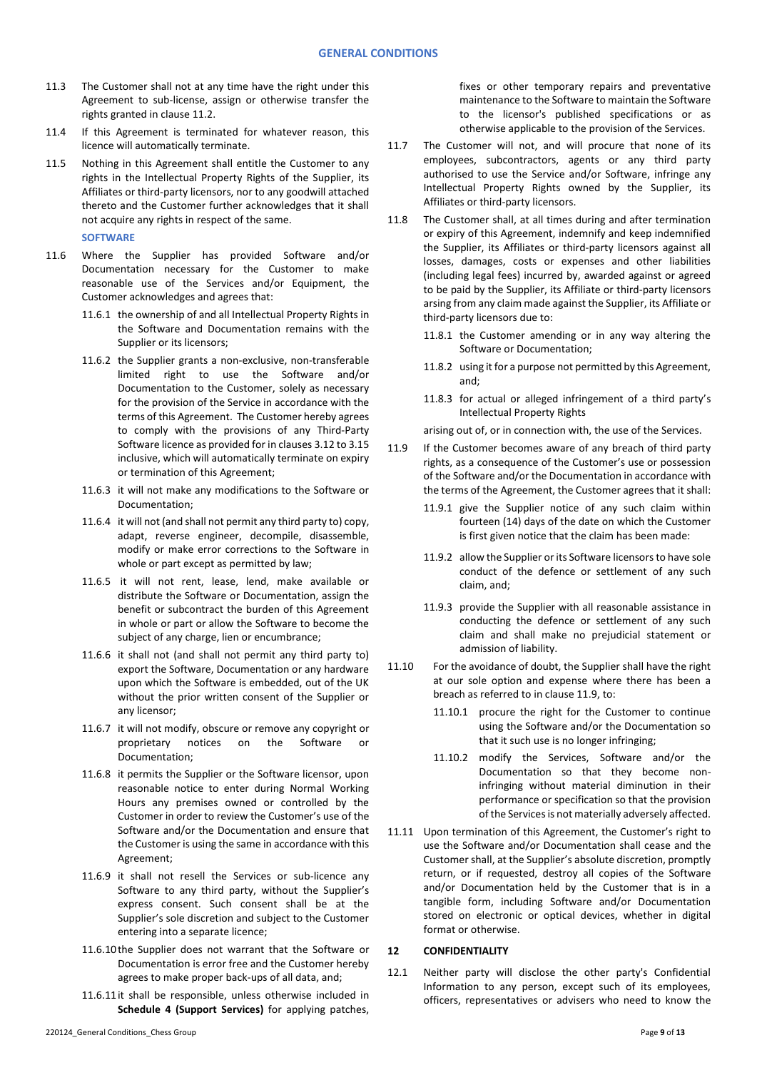- 11.3 The Customer shall not at any time have the right under this Agreement to sub-license, assign or otherwise transfer the rights granted in claus[e 11.2.](#page-7-1)
- 11.4 If this Agreement is terminated for whatever reason, this licence will automatically terminate.
- 11.5 Nothing in this Agreement shall entitle the Customer to any rights in the Intellectual Property Rights of the Supplier, its Affiliates or third-party licensors, nor to any goodwill attached thereto and the Customer further acknowledges that it shall not acquire any rights in respect of the same.
	- **SOFTWARE**
- <span id="page-8-0"></span>11.6 Where the Supplier has provided Software and/or Documentation necessary for the Customer to make reasonable use of the Services and/or Equipment, the Customer acknowledges and agrees that:
	- 11.6.1 the ownership of and all Intellectual Property Rights in the Software and Documentation remains with the Supplier or its licensors;
	- 11.6.2 the Supplier grants a non-exclusive, non-transferable limited right to use the Software and/or Documentation to the Customer, solely as necessary for the provision of the Service in accordance with the terms of this Agreement. The Customer hereby agrees to comply with the provisions of any Third-Party Software licence as provided for in clause[s 3.12](#page-1-1) t[o 3.15](#page-1-2) inclusive, which will automatically terminate on expiry or termination of this Agreement;
	- 11.6.3 it will not make any modifications to the Software or Documentation;
	- 11.6.4 it will not (and shall not permit any third party to) copy, adapt, reverse engineer, decompile, disassemble, modify or make error corrections to the Software in whole or part except as permitted by law;
	- 11.6.5 it will not rent, lease, lend, make available or distribute the Software or Documentation, assign the benefit or subcontract the burden of this Agreement in whole or part or allow the Software to become the subject of any charge, lien or encumbrance;
	- 11.6.6 it shall not (and shall not permit any third party to) export the Software, Documentation or any hardware upon which the Software is embedded, out of the UK without the prior written consent of the Supplier or any licensor;
	- 11.6.7 it will not modify, obscure or remove any copyright or proprietary notices on the Software or Documentation;
	- 11.6.8 it permits the Supplier or the Software licensor, upon reasonable notice to enter during Normal Working Hours any premises owned or controlled by the Customer in order to review the Customer's use of the Software and/or the Documentation and ensure that the Customer is using the same in accordance with this Agreement;
	- 11.6.9 it shall not resell the Services or sub-licence any Software to any third party, without the Supplier's express consent. Such consent shall be at the Supplier's sole discretion and subject to the Customer entering into a separate licence;
	- 11.6.10the Supplier does not warrant that the Software or Documentation is error free and the Customer hereby agrees to make proper back-ups of all data, and;
	- 11.6.11it shall be responsible, unless otherwise included in **Schedule 4 (Support Services)** for applying patches,

fixes or other temporary repairs and preventative maintenance to the Software to maintain the Software to the licensor's published specifications or as otherwise applicable to the provision of the Services.

- 11.7 The Customer will not, and will procure that none of its employees, subcontractors, agents or any third party authorised to use the Service and/or Software, infringe any Intellectual Property Rights owned by the Supplier, its Affiliates or third-party licensors.
- 11.8 The Customer shall, at all times during and after termination or expiry of this Agreement, indemnify and keep indemnified the Supplier, its Affiliates or third-party licensors against all losses, damages, costs or expenses and other liabilities (including legal fees) incurred by, awarded against or agreed to be paid by the Supplier, its Affiliate or third-party licensors arsing from any claim made against the Supplier, its Affiliate or third-party licensors due to:
	- 11.8.1 the Customer amending or in any way altering the Software or Documentation;
	- 11.8.2 using it for a purpose not permitted by this Agreement, and;
	- 11.8.3 for actual or alleged infringement of a third party's Intellectual Property Rights

arising out of, or in connection with, the use of the Services.

- 11.9 If the Customer becomes aware of any breach of third party rights, as a consequence of the Customer's use or possession of the Software and/or the Documentation in accordance with the terms of the Agreement, the Customer agrees that it shall:
	- 11.9.1 give the Supplier notice of any such claim within fourteen (14) days of the date on which the Customer is first given notice that the claim has been made:
	- 11.9.2 allow the Supplier or its Software licensors to have sole conduct of the defence or settlement of any such claim, and;
	- 11.9.3 provide the Supplier with all reasonable assistance in conducting the defence or settlement of any such claim and shall make no prejudicial statement or admission of liability.
- 11.10 For the avoidance of doubt, the Supplier shall have the right at our sole option and expense where there has been a breach as referred to in clause 11.9, to:
	- 11.10.1 procure the right for the Customer to continue using the Software and/or the Documentation so that it such use is no longer infringing;
	- 11.10.2 modify the Services, Software and/or the Documentation so that they become noninfringing without material diminution in their performance or specification so that the provision of the Services is not materially adversely affected.
- 11.11 Upon termination of this Agreement, the Customer's right to use the Software and/or Documentation shall cease and the Customer shall, at the Supplier's absolute discretion, promptly return, or if requested, destroy all copies of the Software and/or Documentation held by the Customer that is in a tangible form, including Software and/or Documentation stored on electronic or optical devices, whether in digital format or otherwise.

# <span id="page-8-2"></span>**12 CONFIDENTIALITY**

<span id="page-8-1"></span>12.1 Neither party will disclose the other party's Confidential Information to any person, except such of its employees, officers, representatives or advisers who need to know the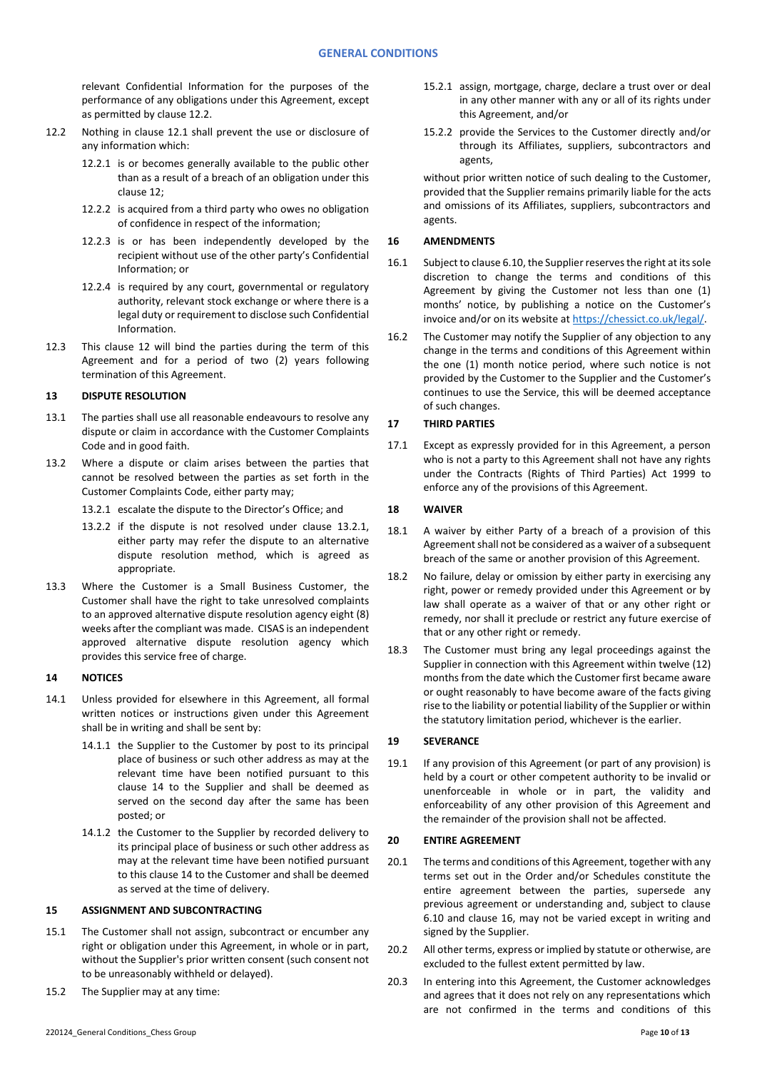relevant Confidential Information for the purposes of the performance of any obligations under this Agreement, except as permitted by clause [12.2.](#page-9-0)

- <span id="page-9-0"></span>12.2 Nothing in clause [12.1](#page-8-1) shall prevent the use or disclosure of any information which:
	- 12.2.1 is or becomes generally available to the public other than as a result of a breach of an obligation under this claus[e 12;](#page-8-2)
	- 12.2.2 is acquired from a third party who owes no obligation of confidence in respect of the information;
	- 12.2.3 is or has been independently developed by the recipient without use of the other party's Confidential Information; or
	- 12.2.4 is required by any court, governmental or regulatory authority, relevant stock exchange or where there is a legal duty or requirement to disclose such Confidential Information.
- 12.3 This clause [12](#page-8-2) will bind the parties during the term of this Agreement and for a period of two (2) years following termination of this Agreement.

# **13 DISPUTE RESOLUTION**

- 13.1 The parties shall use all reasonable endeavours to resolve any dispute or claim in accordance with the Customer Complaints Code and in good faith.
- <span id="page-9-1"></span>13.2 Where a dispute or claim arises between the parties that cannot be resolved between the parties as set forth in the Customer Complaints Code, either party may;
	- 13.2.1 escalate the dispute to the Director's Office; and
	- 13.2.2 if the dispute is not resolved under clause [13.2.1,](#page-9-1) either party may refer the dispute to an alternative dispute resolution method, which is agreed as appropriate.
- 13.3 Where the Customer is a Small Business Customer, the Customer shall have the right to take unresolved complaints to an approved alternative dispute resolution agency eight (8) weeks after the compliant was made. CISAS is an independent approved alternative dispute resolution agency which provides this service free of charge.

# <span id="page-9-2"></span>**14 NOTICES**

- 14.1 Unless provided for elsewhere in this Agreement, all formal written notices or instructions given under this Agreement shall be in writing and shall be sent by:
	- 14.1.1 the Supplier to the Customer by post to its principal place of business or such other address as may at the relevant time have been notified pursuant to this clause [14](#page-9-2) to the Supplier and shall be deemed as served on the second day after the same has been posted; or
	- 14.1.2 the Customer to the Supplier by recorded delivery to its principal place of business or such other address as may at the relevant time have been notified pursuant to this claus[e 14](#page-9-2) to the Customer and shall be deemed as served at the time of delivery.

#### **15 ASSIGNMENT AND SUBCONTRACTING**

- 15.1 The Customer shall not assign, subcontract or encumber any right or obligation under this Agreement, in whole or in part, without the Supplier's prior written consent (such consent not to be unreasonably withheld or delayed).
- 15.2 The Supplier may at any time:
- 15.2.1 assign, mortgage, charge, declare a trust over or deal in any other manner with any or all of its rights under this Agreement, and/or
- 15.2.2 provide the Services to the Customer directly and/or through its Affiliates, suppliers, subcontractors and agents,

without prior written notice of such dealing to the Customer, provided that the Supplier remains primarily liable for the acts and omissions of its Affiliates, suppliers, subcontractors and agents.

### <span id="page-9-3"></span>**16 AMENDMENTS**

- 16.1 Subject to clause [6.10,](#page-4-1) the Supplier reserves the right at its sole discretion to change the terms and conditions of this Agreement by giving the Customer not less than one (1) months' notice, by publishing a notice on the Customer's invoice and/or on its website a[t https://chessict.co.uk/legal/.](https://chessict.co.uk/legal/)
- 16.2 The Customer may notify the Supplier of any objection to any change in the terms and conditions of this Agreement within the one (1) month notice period, where such notice is not provided by the Customer to the Supplier and the Customer's continues to use the Service, this will be deemed acceptance of such changes.

# **17 THIRD PARTIES**

17.1 Except as expressly provided for in this Agreement, a person who is not a party to this Agreement shall not have any rights under the Contracts (Rights of Third Parties) Act 1999 to enforce any of the provisions of this Agreement.

### **18 WAIVER**

- 18.1 A waiver by either Party of a breach of a provision of this Agreement shall not be considered as a waiver of a subsequent breach of the same or another provision of this Agreement.
- 18.2 No failure, delay or omission by either party in exercising any right, power or remedy provided under this Agreement or by law shall operate as a waiver of that or any other right or remedy, nor shall it preclude or restrict any future exercise of that or any other right or remedy.
- 18.3 The Customer must bring any legal proceedings against the Supplier in connection with this Agreement within twelve (12) months from the date which the Customer first became aware or ought reasonably to have become aware of the facts giving rise to the liability or potential liability of the Supplier or within the statutory limitation period, whichever is the earlier.

# **19 SEVERANCE**

19.1 If any provision of this Agreement (or part of any provision) is held by a court or other competent authority to be invalid or unenforceable in whole or in part, the validity and enforceability of any other provision of this Agreement and the remainder of the provision shall not be affected.

### **20 ENTIRE AGREEMENT**

- 20.1 The terms and conditions of this Agreement, together with any terms set out in the Order and/or Schedules constitute the entire agreement between the parties, supersede any previous agreement or understanding and, subject to clause [6.10](#page-4-1) and clause [16,](#page-9-3) may not be varied except in writing and signed by the Supplier.
- 20.2 All other terms, express or implied by statute or otherwise, are excluded to the fullest extent permitted by law.
- 20.3 In entering into this Agreement, the Customer acknowledges and agrees that it does not rely on any representations which are not confirmed in the terms and conditions of this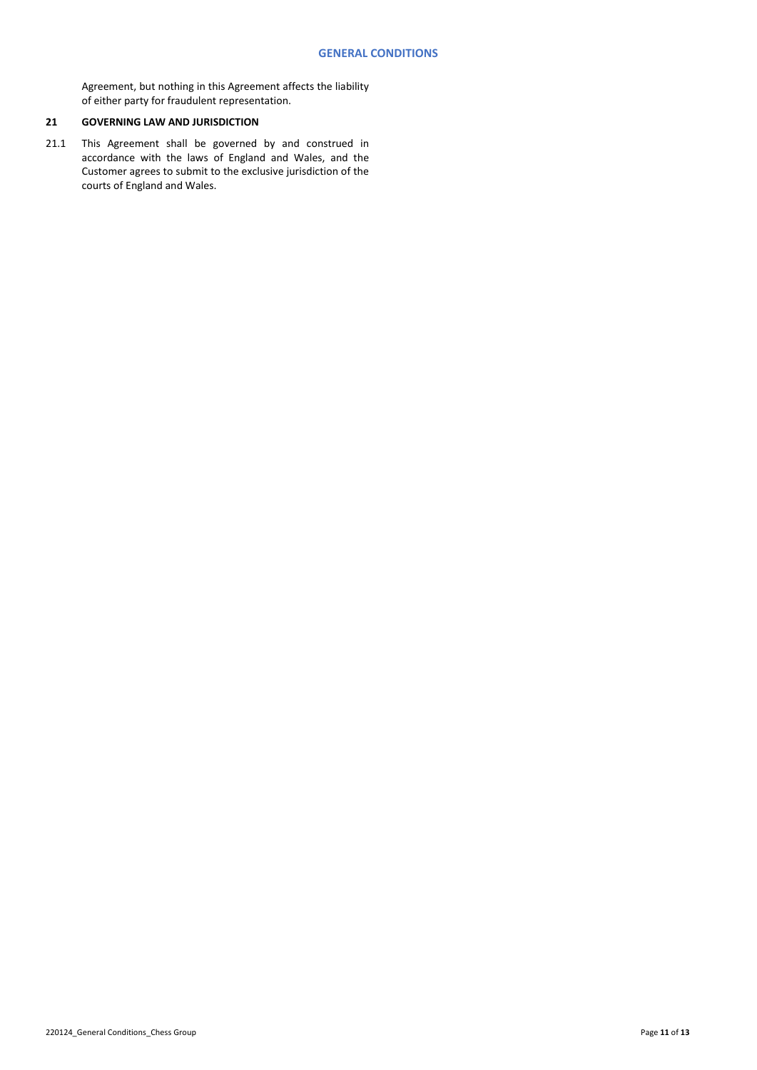Agreement, but nothing in this Agreement affects the liability of either party for fraudulent representation.

# **21 GOVERNING LAW AND JURISDICTION**

21.1 This Agreement shall be governed by and construed in accordance with the laws of England and Wales, and the Customer agrees to submit to the exclusive jurisdiction of the courts of England and Wales.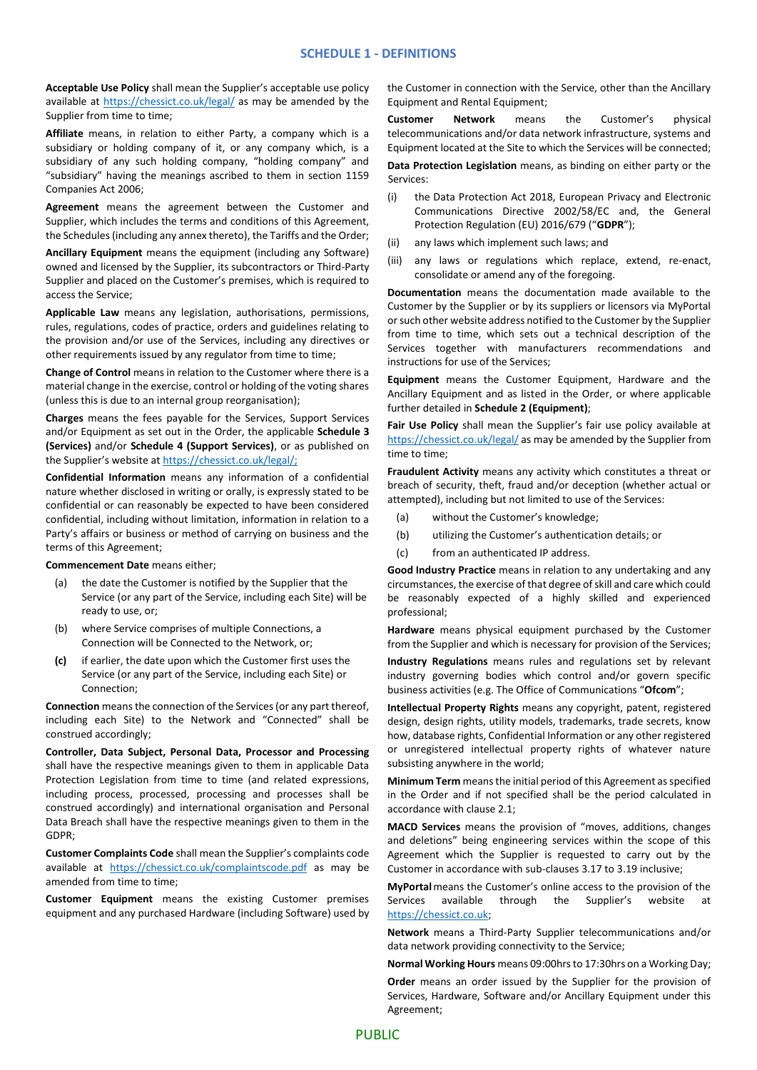**Acceptable Use Policy** shall mean the Supplier's acceptable use policy available at<https://chessict.co.uk/legal/> as may be amended by the Supplier from time to time;

**Affiliate** means, in relation to either Party, a company which is a subsidiary or holding company of it, or any company which, is a subsidiary of any such holding company, "holding company" and "subsidiary" having the meanings ascribed to them in section 1159 Companies Act 2006;

**Agreement** means the agreement between the Customer and Supplier, which includes the terms and conditions of this Agreement, the Schedules (including any annex thereto), the Tariffs and the Order;

**Ancillary Equipment** means the equipment (including any Software) owned and licensed by the Supplier, its subcontractors or Third-Party Supplier and placed on the Customer's premises, which is required to access the Service;

**Applicable Law** means any legislation, authorisations, permissions, rules, regulations, codes of practice, orders and guidelines relating to the provision and/or use of the Services, including any directives or other requirements issued by any regulator from time to time;

**Change of Control** means in relation to the Customer where there is a material change in the exercise, control or holding of the voting shares (unless this is due to an internal group reorganisation);

**Charges** means the fees payable for the Services, Support Services and/or Equipment as set out in the Order, the applicable **Schedule 3 (Services)** and/or **Schedule 4 (Support Services)**, or as published on the Supplier's website at [https://chessict.co.uk/legal/;](https://chessict.co.uk/legal/)

**Confidential Information** means any information of a confidential nature whether disclosed in writing or orally, is expressly stated to be confidential or can reasonably be expected to have been considered confidential, including without limitation, information in relation to a Party's affairs or business or method of carrying on business and the terms of this Agreement;

**Commencement Date** means either;

- (a) the date the Customer is notified by the Supplier that the Service (or any part of the Service, including each Site) will be ready to use, or;
- (b) where Service comprises of multiple Connections, a Connection will be Connected to the Network, or;
- **(c)** if earlier, the date upon which the Customer first uses the Service (or any part of the Service, including each Site) or Connection;

**Connection** means the connection of the Services (or any part thereof, including each Site) to the Network and "Connected" shall be construed accordingly;

**Controller, Data Subject, Personal Data, Processor and Processing** shall have the respective meanings given to them in applicable Data Protection Legislation from time to time (and related expressions, including process, processed, processing and processes shall be construed accordingly) and international organisation and Personal Data Breach shall have the respective meanings given to them in the GDPR;

**Customer Complaints Code** shall mean the Supplier's complaints code available at [https://chessict.co.uk/complaintscode.pdf](https://eur03.safelinks.protection.outlook.com/?url=https%3A%2F%2Fchessict.co.uk%2Fcomplaintscode.pdf&data=02%7C01%7CZahidAli%40ChessICT.co.uk%7C0dfe579643304969db0208d7c1bd2b32%7Cb59cf9cb1b57401482a1df65994c0c69%7C0%7C0%7C637190890534459933&sdata=Hxs8KEYfGkKyOpBsq2mulqaHOa59QojppLfwNrFrvEk%3D&reserved=0) as may be amended from time to time;

**Customer Equipment** means the existing Customer premises equipment and any purchased Hardware (including Software) used by the Customer in connection with the Service, other than the Ancillary Equipment and Rental Equipment;

**Customer Network** means the Customer's physical telecommunications and/or data network infrastructure, systems and Equipment located at the Site to which the Services will be connected;

**Data Protection Legislation** means, as binding on either party or the Services:

- (i) the Data Protection Act 2018, European Privacy and Electronic Communications Directive 2002/58/EC and, the General Protection Regulation (EU) 2016/679 ("**GDPR**");
- (ii) any laws which implement such laws; and
- (iii) any laws or regulations which replace, extend, re-enact, consolidate or amend any of the foregoing.

**Documentation** means the documentation made available to the Customer by the Supplier or by its suppliers or licensors via MyPortal or such other website address notified to the Customer by the Supplier from time to time, which sets out a technical description of the Services together with manufacturers recommendations and instructions for use of the Services;

**Equipment** means the Customer Equipment, Hardware and the Ancillary Equipment and as listed in the Order, or where applicable further detailed in **Schedule 2 (Equipment)**;

**Fair Use Policy** shall mean the Supplier's fair use policy available at <https://chessict.co.uk/legal/> as may be amended by the Supplier from time to time;

**Fraudulent Activity** means any activity which constitutes a threat or breach of security, theft, fraud and/or deception (whether actual or attempted), including but not limited to use of the Services:

- (a) without the Customer's knowledge;
- (b) utilizing the Customer's authentication details; or
- (c) from an authenticated IP address.

**Good Industry Practice** means in relation to any undertaking and any circumstances, the exercise of that degree of skill and care which could be reasonably expected of a highly skilled and experienced professional;

**Hardware** means physical equipment purchased by the Customer from the Supplier and which is necessary for provision of the Services;

**Industry Regulations** means rules and regulations set by relevant industry governing bodies which control and/or govern specific business activities (e.g. The Office of Communications "**Ofcom**";

**Intellectual Property Rights** means any copyright, patent, registered design, design rights, utility models, trademarks, trade secrets, know how, database rights, Confidential Information or any other registered or unregistered intellectual property rights of whatever nature subsisting anywhere in the world;

**Minimum Term** means the initial period of this Agreement as specified in the Order and if not specified shall be the period calculated in accordance with clause 2.1;

**MACD Services** means the provision of "moves, additions, changes and deletions" being engineering services within the scope of this Agreement which the Supplier is requested to carry out by the Customer in accordance with sub-clauses 3.17 to 3.19 inclusive;

**MyPortal**means the Customer's online access to the provision of the Services available through the Supplier's website at [https://chessict.co.uk;](https://chessict.co.uk/)

**Network** means a Third-Party Supplier telecommunications and/or data network providing connectivity to the Service;

**Normal Working Hours** means 09:00hrs to 17:30hrs on a Working Day;

**Order** means an order issued by the Supplier for the provision of Services, Hardware, Software and/or Ancillary Equipment under this Agreement;